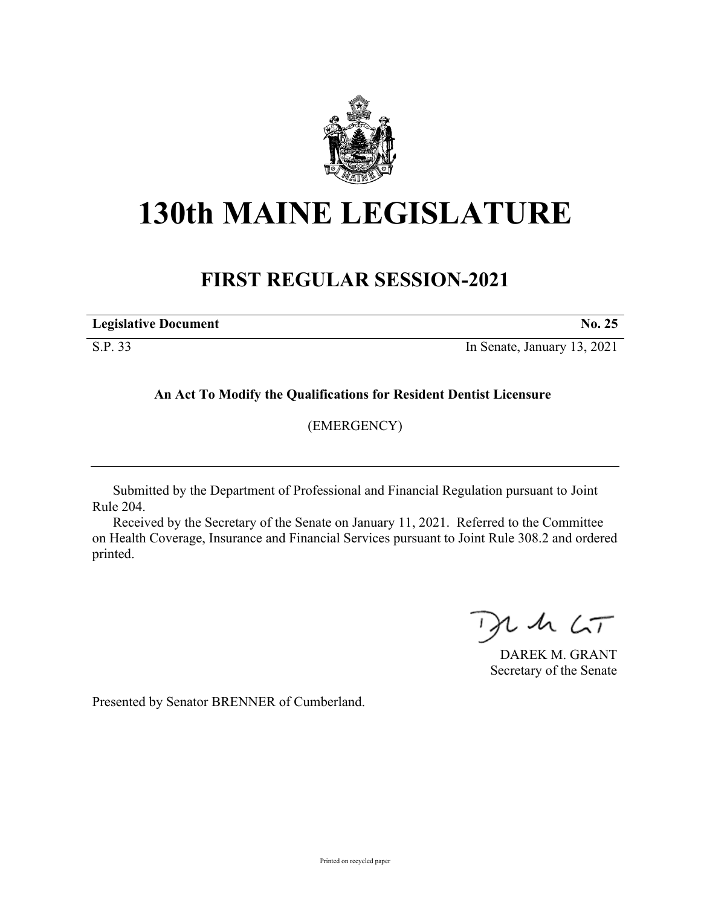

## **130th MAINE LEGISLATURE**

## **FIRST REGULAR SESSION-2021**

**Legislative Document No. 25**

S.P. 33 In Senate, January 13, 2021

**An Act To Modify the Qualifications for Resident Dentist Licensure**

(EMERGENCY)

Submitted by the Department of Professional and Financial Regulation pursuant to Joint Rule 204.

Received by the Secretary of the Senate on January 11, 2021. Referred to the Committee on Health Coverage, Insurance and Financial Services pursuant to Joint Rule 308.2 and ordered printed.

 $125$ 

DAREK M. GRANT Secretary of the Senate

Presented by Senator BRENNER of Cumberland.